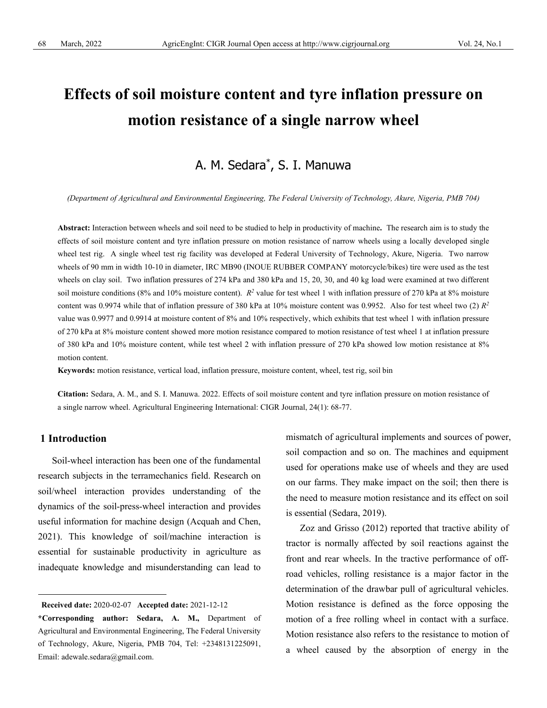# **Effects of soil moisture content and tyre inflation pressure on motion resistance of a single narrow wheel**

# A. M. Sedara\* , S. I. Manuwa

*(Department of Agricultural and Environmental Engineering, The Federal University of Technology, Akure, Nigeria, PMB 704)*

**Abstract:** Interaction between wheels and soil need to be studied to help in productivity of machine**.** The research aim is to study the effects of soil moisture content and tyre inflation pressure on motion resistance of narrow wheels using a locally developed single wheel test rig. A single wheel test rig facility was developed at Federal University of Technology, Akure, Nigeria. Two narrow wheels of 90 mm in width 10-10 in diameter, IRC MB90 (INOUE RUBBER COMPANY motorcycle/bikes) tire were used as the test wheels on clay soil. Two inflation pressures of 274 kPa and 380 kPa and 15, 20, 30, and 40 kg load were examined at two different soil moisture conditions (8% and 10% moisture content).  $R^2$  value for test wheel 1 with inflation pressure of 270 kPa at 8% moisture content was 0.9974 while that of inflation pressure of 380 kPa at 10% moisture content was 0.9952. Also for test wheel two (2) *R2* value was 0.9977 and 0.9914 at moisture content of 8% and 10% respectively, which exhibits that test wheel 1 with inflation pressure of 270 kPa at 8% moisture content showed more motion resistance compared to motion resistance of test wheel 1 at inflation pressure of 380 kPa and 10% moisture content, while test wheel 2 with inflation pressure of 270 kPa showed low motion resistance at 8% motion content.

**Keywords:** motion resistance, vertical load, inflation pressure, moisture content, wheel, test rig, soil bin

**Citation:** Sedara, A. M., and S. I. Manuwa. 2022. Effects of soil moisture content and tyre inflation pressure on motion resistance of a single narrow wheel. Agricultural Engineering International: CIGR Journal, 24(1): 68-77.

# **1 Introduction**

Soil-wheel interaction has been one of the fundamental research subjects in the terramechanics field. Research on soil/wheel interaction provides understanding of the dynamics of the soil-press-wheel interaction and provides useful information for machine design (Acquah and Chen, 2021). This knowledge of soil/machine interaction is essential for sustainable productivity in agriculture as inadequate knowledge and misunderstanding can lead to

mismatch of agricultural implements and sources of power, soil compaction and so on. The machines and equipment used for operations make use of wheels and they are used on our farms. They make impact on the soil; then there is the need to measure motion resistance and its effect on soil is essential (Sedara, 2019).

Zoz and Grisso (2012) reported that tractive ability of tractor is normally affected by soil reactions against the front and rear wheels. In the tractive performance of offroad vehicles, rolling resistance is a major factor in the determination of the drawbar pull of agricultural vehicles. Motion resistance is defined as the force opposing the motion of a free rolling wheel in contact with a surface. Motion resistance also refers to the resistance to motion of a wheel caused by the absorption of energy in the

**Received date:** 2020-02-07 **Accepted date:** 2021-12-12

**<sup>\*</sup>Corresponding author: Sedara, A. M.,** Department of Agricultural and Environmental Engineering, The Federal University of Technology, Akure, Nigeria, PMB 704, Tel: +2348131225091, Email: [adewale.sedara@gmail.com.](mailto:adewale.sedara@gmail.com)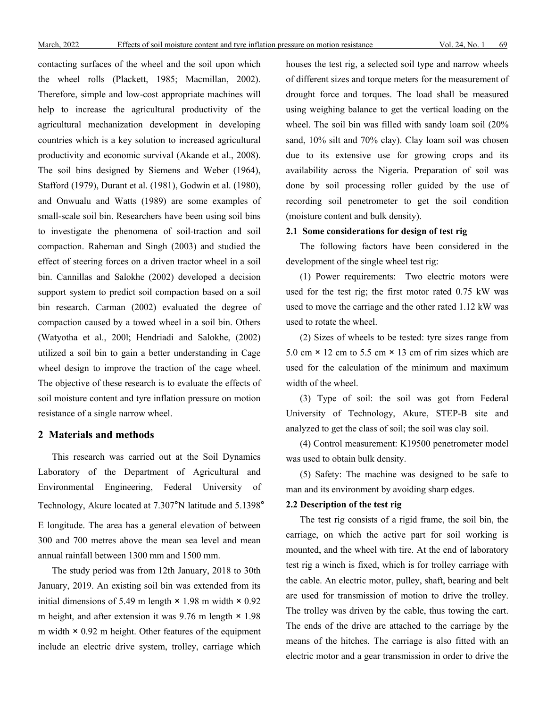contacting surfaces of the wheel and the soil upon which the wheel rolls (Plackett, 1985; Macmillan, 2002). Therefore, simple and low-cost appropriate machines will help to increase the agricultural productivity of the agricultural mechanization development in developing countries which is a key solution to increased agricultural productivity and economic survival (Akande et al., 2008). The soil bins designed by Siemens and Weber (1964), Stafford (1979), Durant et al. (1981), Godwin et al. (1980), and Onwualu and Watts (1989) are some examples of small-scale soil bin. Researchers have been using soil bins to investigate the phenomena of soil-traction and soil compaction. Raheman and Singh (2003) and studied the effect of steering forces on a driven tractor wheel in a soil bin. Cannillas and Salokhe (2002) developed a decision support system to predict soil compaction based on a soil bin research. Carman (2002) evaluated the degree of compaction caused by a towed wheel in a soil bin. Others (Watyotha et al., 200l; Hendriadi and Salokhe, (2002) utilized a soil bin to gain a better understanding in Cage wheel design to improve the traction of the cage wheel. The objective of these research is to evaluate the effects of soil moisture content and tyre inflation pressure on motion resistance of a single narrow wheel.

# **2 Materials and methods**

This research was carried out at the Soil Dynamics Laboratory of the Department of Agricultural and Environmental Engineering, Federal University of Technology, Akure located at 7.307°N latitude and 5.1398° E longitude. The area has a general elevation of between 300 and 700 metres above the mean sea level and mean annual rainfall between 1300 mm and 1500 mm.

The study period was from 12th January, 2018 to 30th January, 2019. An existing soil bin was extended from its initial dimensions of 5.49 m length  $\times$  1.98 m width  $\times$  0.92 m height, and after extension it was  $9.76$  m length  $\times$  1.98 m width  $\times$  0.92 m height. Other features of the equipment include an electric drive system, trolley, carriage which

houses the test rig, a selected soil type and narrow wheels of different sizes and torque meters for the measurement of drought force and torques. The load shall be measured using weighing balance to get the vertical loading on the wheel. The soil bin was filled with sandy loam soil (20% sand, 10% silt and 70% clay). Clay loam soil was chosen due to its extensive use for growing crops and its availability across the Nigeria. Preparation of soil was done by soil processing roller guided by the use of recording soil penetrometer to get the soil condition (moisture content and bulk density).

#### **2.1 Some considerations for design of test rig**

The following factors have been considered in the development of the single wheel test rig:

(1) Power requirements: Two electric motors were used for the test rig; the first motor rated 0.75 kW was used to move the carriage and the other rated 1.12 kW was used to rotate the wheel.

(2) Sizes of wheels to be tested: tyre sizes range from 5.0 cm  $\times$  12 cm to 5.5 cm  $\times$  13 cm of rim sizes which are used for the calculation of the minimum and maximum width of the wheel.

(3) Type of soil: the soil was got from Federal University of Technology, Akure, STEP-B site and analyzed to get the class of soil; the soil was clay soil.

(4) Control measurement: K19500 penetrometer model was used to obtain bulk density.

(5) Safety: The machine was designed to be safe to man and its environment by avoiding sharp edges.

# **2.2 Description of the test rig**

The test rig consists of a rigid frame, the soil bin, the carriage, on which the active part for soil working is mounted, and the wheel with tire. At the end of laboratory test rig a winch is fixed, which is for trolley carriage with the cable. An electric motor, pulley, shaft, bearing and belt are used for transmission of motion to drive the trolley. The trolley was driven by the cable, thus towing the cart. The ends of the drive are attached to the carriage by the means of the hitches. The carriage is also fitted with an electric motor and a gear transmission in order to drive the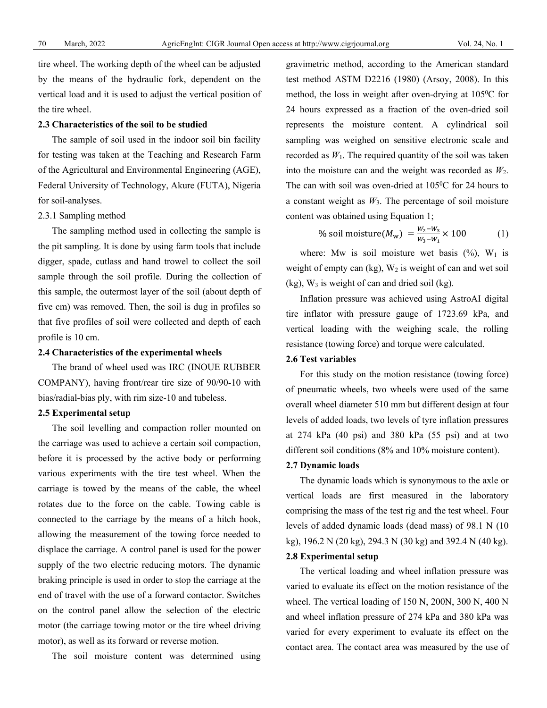tire wheel. The working depth of the wheel can be adjusted by the means of the hydraulic fork, dependent on the vertical load and it is used to adjust the vertical position of the tire wheel.

#### **2.3 Characteristics of the soil to be studied**

The sample of soil used in the indoor soil bin facility for testing was taken at the Teaching and Research Farm of the Agricultural and Environmental Engineering (AGE), Federal University of Technology, Akure (FUTA), Nigeria for soil-analyses.

#### 2.3.1 Sampling method

The sampling method used in collecting the sample is the pit sampling. It is done by using farm tools that include digger, spade, cutlass and hand trowel to collect the soil sample through the soil profile. During the collection of this sample, the outermost layer of the soil (about depth of five cm) was removed. Then, the soil is dug in profiles so that five profiles of soil were collected and depth of each profile is 10 cm.

#### **2.4 Characteristics of the experimental wheels**

The brand of wheel used was IRC (INOUE RUBBER COMPANY), having front/rear tire size of 90/90-10 with bias/radial-bias ply, with rim size-10 and tubeless.

# **2.5 Experimental setup**

The soil levelling and compaction roller mounted on the carriage was used to achieve a certain soil compaction, before it is processed by the active body or performing various experiments with the tire test wheel. When the carriage is towed by the means of the cable, the wheel rotates due to the force on the cable. Towing cable is connected to the carriage by the means of a hitch hook, allowing the measurement of the towing force needed to displace the carriage. A control panel is used for the power supply of the two electric reducing motors. The dynamic braking principle is used in order to stop the carriage at the end of travel with the use of a forward contactor. Switches on the control panel allow the selection of the electric motor (the carriage towing motor or the tire wheel driving motor), as well as its forward or reverse motion.

The soil moisture content was determined using

gravimetric method, according to the American standard test method ASTM D2216 (1980) (Arsoy, 2008). In this method, the loss in weight after oven-drying at  $105\text{°C}$  for 24 hours expressed as a fraction of the oven-dried soil represents the moisture content. A cylindrical soil sampling was weighed on sensitive electronic scale and recorded as  $W_1$ . The required quantity of the soil was taken into the moisture can and the weight was recorded as  $W_2$ . The can with soil was oven-dried at  $105\degree$ C for 24 hours to a constant weight as  $W_3$ . The percentage of soil moisture content was obtained using Equation 1;

% soil moisture(
$$
M_w
$$
) =  $\frac{W_2 - W_3}{W_3 - W_1} \times 100$  (1)

where: Mw is soil moisture wet basis  $(\%)$ , W<sub>1</sub> is weight of empty can  $(kg)$ ,  $W_2$  is weight of can and wet soil  $(kg)$ , W<sub>3</sub> is weight of can and dried soil  $(kg)$ .

Inflation pressure was achieved using AstroAI digital tire inflator with pressure gauge of 1723.69 kPa, and vertical loading with the weighing scale, the rolling resistance (towing force) and torque were calculated.

#### **2.6 Test variables**

For this study on the motion resistance (towing force) of pneumatic wheels, two wheels were used of the same overall wheel diameter 510 mm but different design at four levels of added loads, two levels of tyre inflation pressures at 274 kPa (40 psi) and 380 kPa (55 psi) and at two different soil conditions (8% and 10% moisture content).

#### **2.7 Dynamic loads**

The dynamic loads which is synonymous to the axle or vertical loads are first measured in the laboratory comprising the mass of the test rig and the test wheel. Four levels of added dynamic loads (dead mass) of 98.1 N (10 kg), 196.2 N (20 kg), 294.3 N (30 kg) and 392.4 N (40 kg).

# **2.8 Experimental setup**

The vertical loading and wheel inflation pressure was varied to evaluate its effect on the motion resistance of the wheel. The vertical loading of 150 N, 200N, 300 N, 400 N and wheel inflation pressure of 274 kPa and 380 kPa was varied for every experiment to evaluate its effect on the contact area. The contact area was measured by the use of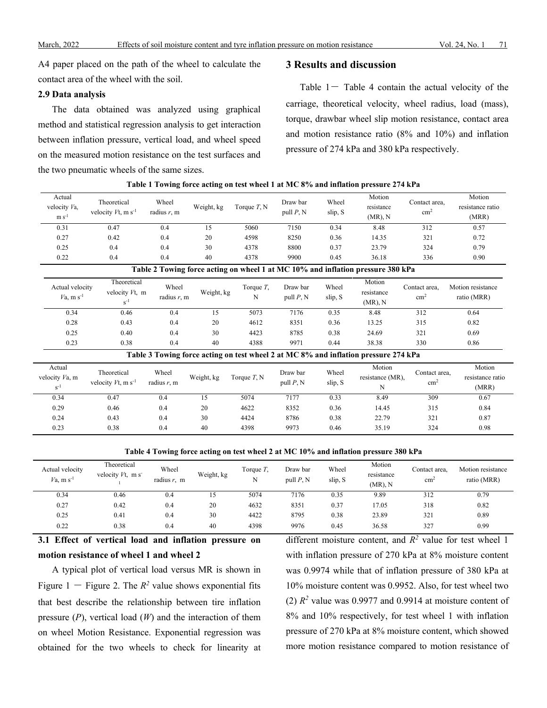A4 paper placed on the path of the wheel to calculate the contact area of the wheel with the soil.

#### **2.9 Data analysis**

The data obtained was analyzed using graphical method and statistical regression analysis to get interaction between inflation pressure, vertical load, and wheel speed on the measured motion resistance on the test surfaces and the two pneumatic wheels of the same sizes.

# **3 Results and discussion**

Table  $1-$  Table 4 contain the actual velocity of the carriage, theoretical velocity, wheel radius, load (mass), torque, drawbar wheel slip motion resistance, contact area and motion resistance ratio (8% and 10%) and inflation pressure of 274 kPa and 380 kPa respectively.

| Actual<br>velocity Va,<br>$m s-1$           | Theoretical<br>velocity $Vt$ , m s <sup>-1</sup> | Wheel<br>radius $r$ , m | Weight, kg | Torque $T$ , N    | Draw bar<br>pull $P, N$  | Wheel<br>slip, S | Motion<br>resistance<br>$(MR)$ , N                                                  | Contact area,<br>$\text{cm}^2$ | Motion<br>resistance ratio<br>(MRR) |
|---------------------------------------------|--------------------------------------------------|-------------------------|------------|-------------------|--------------------------|------------------|-------------------------------------------------------------------------------------|--------------------------------|-------------------------------------|
| 0.31                                        | 0.47                                             | 0.4                     | 15         | 5060              | 7150                     | 0.34             | 8.48                                                                                | 312                            | 0.57                                |
| 0.27                                        | 0.42                                             | 0.4                     | 20         | 4598              | 8250                     | 0.36             | 14.35                                                                               | 321                            | 0.72                                |
| 0.25                                        | 0.4                                              | 0.4                     | 30         | 4378              | 8800                     | 0.37             | 23.79                                                                               | 324                            | 0.79                                |
| 0.22                                        | 0.4                                              | 0.4                     | 40         | 4378              | 9900                     | 0.45             | 36.18                                                                               | 336                            | 0.90                                |
|                                             |                                                  |                         |            |                   |                          |                  | Table 2 Towing force acting on wheel 1 at MC 10% and inflation pressure 380 kPa     |                                |                                     |
| Actual velocity<br>$V$ a, m s <sup>-1</sup> | Theoretical<br>velocity Vt. m<br>$s^{-1}$        | Wheel<br>radius $r$ , m | Weight, kg | Torque $T$ ,<br>N | Draw bar<br>pull $P$ , N | Wheel<br>slip, S | Motion<br>resistance<br>$(MR)$ , N                                                  | Contact area.<br>$\text{cm}^2$ | Motion resistance<br>ratio (MRR)    |
| 0.34                                        | 0.46                                             | 0.4                     | 15         | 5073              | 7176                     | 0.35             | 8.48                                                                                | 312                            | 0.64                                |
| 0.28                                        | 0.43                                             | 0.4                     | 20         | 4612              | 8351                     | 0.36             | 13.25                                                                               | 315                            | 0.82                                |
| 0.25                                        | 0.40                                             | 0.4                     | 30         | 4423              | 8785                     | 0.38             | 24.69                                                                               | 321                            | 0.69                                |
| 0.23                                        | 0.38                                             | 0.4                     | 40         | 4388              | 9971                     | 0.44             | 38.38                                                                               | 330                            | 0.86                                |
|                                             |                                                  |                         |            |                   |                          |                  | Table 3 Towing force acting on test wheel 2 at MC 8% and inflation pressure 274 kPa |                                |                                     |
| Actual<br>velocity Va, m<br>$s^{-1}$        | Theoretical<br>velocity $Vt$ , m s <sup>-1</sup> | Wheel<br>radius $r$ , m | Weight, kg | Torque $T$ , N    | Draw bar<br>pull $P$ , N | Wheel<br>slip, S | Motion<br>resistance (MR),<br>N                                                     | Contact area,<br>$\text{cm}^2$ | Motion<br>resistance ratio<br>(MRR) |
| 0.34                                        | 0.47                                             | 0.4                     | 15         | 5074              | 7177                     | 0.33             | 8.49                                                                                | 309                            | 0.67                                |
| 0.29                                        | 0.46                                             | 0.4                     | 20         | 4622              | 8352                     | 0.36             | 14.45                                                                               | 315                            | 0.84                                |
| 0.24                                        | 0.43                                             | 0.4                     | 30         | 4424              | 8786                     | 0.38             | 22.79                                                                               | 321                            | 0.87                                |
| 0.23                                        | 0.38                                             | 0.4                     | 40         | 4398              | 9973                     | 0.46             | 35.19                                                                               | 324                            | 0.98                                |

|  |  | Table 1 Towing force acting on test wheel 1 at MC 8% and inflation pressure 274 kPa |  |
|--|--|-------------------------------------------------------------------------------------|--|
|  |  |                                                                                     |  |

**Table 4 Towing force acting on test wheel 2 at MC 10% and inflation pressure 380 kPa**

| Actual velocity<br>$Va$ , m s <sup>-1</sup> | Theoretical<br>velocity $Vt$ , m s | Wheel<br>radius $r$ , m | Weight, kg | Torque $T$ ,<br>N | Draw bar<br>pull $P, N$ | Wheel<br>slip, S | Motion<br>resistance<br>$(MR)$ , N | Contact area.<br>cm <sup>2</sup> | Motion resistance<br>ratio (MRR) |
|---------------------------------------------|------------------------------------|-------------------------|------------|-------------------|-------------------------|------------------|------------------------------------|----------------------------------|----------------------------------|
| 0.34                                        | 0.46                               | 0.4                     | 15         | 5074              | 7176                    | 0.35             | 9.89                               | 312                              | 0.79                             |
| 0.27                                        | 0.42                               | 0.4                     | 20         | 4632              | 8351                    | 0.37             | 17.05                              | 318                              | 0.82                             |
| 0.25                                        | 0.41                               | 0.4                     | 30         | 4422              | 8795                    | 0.38             | 23.89                              | 321                              | 0.89                             |
| 0.22                                        | 0.38                               | 0.4                     | 40         | 4398              | 9976                    | 0.45             | 36.58                              | 327                              | 0.99                             |

**3.1 Effect of vertical load and inflation pressure on motion resistance of wheel 1 and wheel 2**

A typical plot of vertical load versus MR is shown in Figure 1 - Figure 2. The  $R^2$  value shows exponential fits that best describe the relationship between tire inflation pressure (*P*), vertical load (*W*) and the interaction of them on wheel Motion Resistance. Exponential regression was obtained for the two wheels to check for linearity at

different moisture content, and *R<sup>2</sup>* value for test wheel 1 with inflation pressure of 270 kPa at 8% moisture content was 0.9974 while that of inflation pressure of 380 kPa at 10% moisture content was 0.9952. Also, for test wheel two (2)  $R^2$  value was 0.9977 and 0.9914 at moisture content of 8% and 10% respectively, for test wheel 1 with inflation pressure of 270 kPa at 8% moisture content, which showed more motion resistance compared to motion resistance of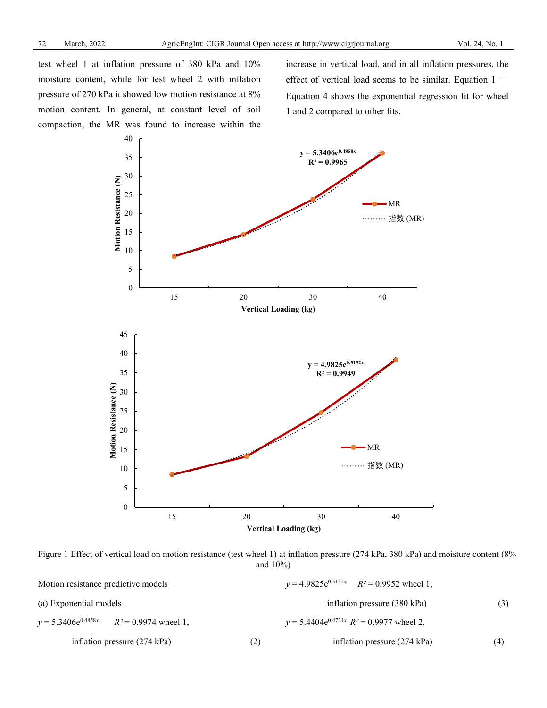test wheel 1 at inflation pressure of 380 kPa and 10% moisture content, while for test wheel 2 with inflation pressure of 270 kPa it showed low motion resistance at 8% motion content. In general, at constant level of soil compaction, the MR was found to increase within the increase in vertical load, and in all inflation pressures, the effect of vertical load seems to be similar. Equation  $1 -$ Equation 4 shows the exponential regression fit for wheel 1 and 2 compared to other fits.



Figure 1 Effect of vertical load on motion resistance (test wheel 1) at inflation pressure (274 kPa, 380 kPa) and moisture content (8% and 10%)

| Motion resistance predictive models             |     | $v = 4.9825e^{0.5152x}$ $R^2 = 0.9952$ wheel 1, |     |  |  |
|-------------------------------------------------|-----|-------------------------------------------------|-----|--|--|
| (a) Exponential models                          |     | inflation pressure (380 kPa)                    | (3) |  |  |
| $y = 5.3406e^{0.4858x}$ $R^2 = 0.9974$ wheel 1, |     | $v = 5.4404e^{0.4721x}$ $R^2 = 0.9977$ wheel 2, |     |  |  |
| inflation pressure $(274 \text{ kPa})$          | (2) | inflation pressure $(274 \text{ kPa})$          | (4) |  |  |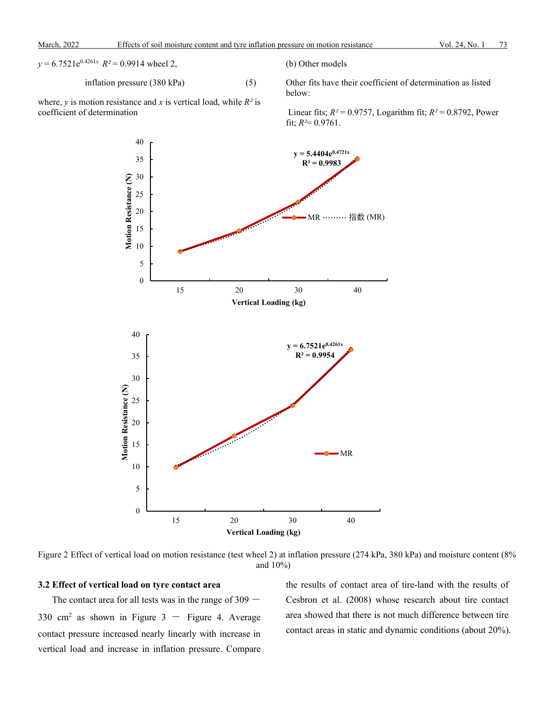$$
y = 6.7521e^{0.4261x}
$$
  $R^2 = 0.9914$  wheel 2,

inflation pressure 
$$
(380 \text{ kPa})
$$
 (5)

where,  $y$  is motion resistance and  $x$  is vertical load, while  $R^2$  is coefficient of determination

(b) Other models

Other fits have their coefficient of determination as listed below:

Linear fits;  $R^2 = 0.9757$ , Logarithm fit;  $R^2 = 0.8792$ , Power fit;  $R^2 = 0.9761$ .



Figure 2 Effect of vertical load on motion resistance (test wheel 2) at inflation pressure (274 kPa, 380 kPa) and moisture content (8% and 10%)

#### **3.2 Effect of vertical load on tyre contact area**

The contact area for all tests was in the range of  $309 -$ 330 cm<sup>2</sup> as shown in Figure 3 - Figure 4. Average contact pressure increased nearly linearly with increase in vertical load and increase in inflation pressure. Compare the results of contact area of tire-land with the results of Cesbron et al. (2008) whose research about tire contact area showed that there is not much difference between tire contact areas in static and dynamic conditions (about 20%).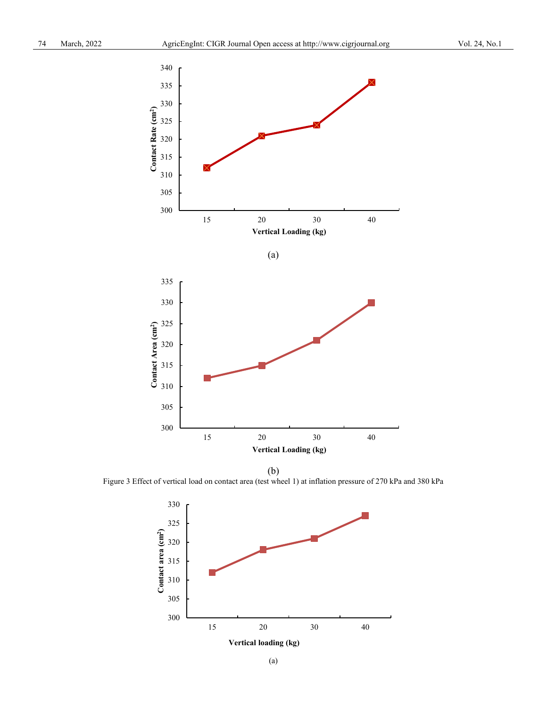

Figure 3 Effect of vertical load on contact area (test wheel 1) at inflation pressure of 270 kPa and 380 kPa

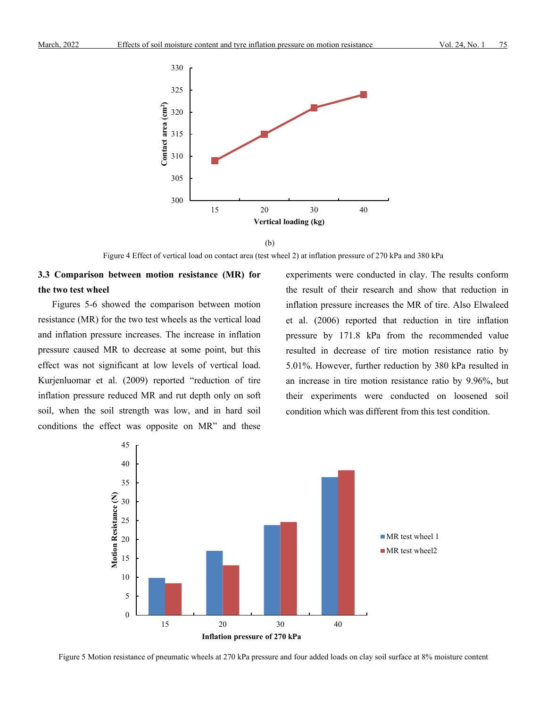

 <sup>(</sup>b)

Figure 4 Effect of vertical load on contact area (test wheel 2) at inflation pressure of 270 kPa and 380 kPa

# **3.3 Comparison between motion resistance (MR) for the two test wheel**

Figures 5-6 showed the comparison between motion resistance (MR) for the two test wheels as the vertical load and inflation pressure increases. The increase in inflation pressure caused MR to decrease at some point, but this effect was not significant at low levels of vertical load. Kurjenluomar et al. (2009) reported "reduction of tire inflation pressure reduced MR and rut depth only on soft soil, when the soil strength was low, and in hard soil conditions the effect was opposite on MR" and these

experiments were conducted in clay. The results conform the result of their research and show that reduction in inflation pressure increases the MR of tire. Also Elwaleed et al. (2006) reported that reduction in tire inflation pressure by 171.8 kPa from the recommended value resulted in decrease of tire motion resistance ratio by 5.01%. However, further reduction by 380 kPa resulted in an increase in tire motion resistance ratio by 9.96%, but their experiments were conducted on loosened soil condition which was different from this test condition.



Figure 5 Motion resistance of pneumatic wheels at 270 kPa pressure and four added loads on clay soil surface at 8% moisture content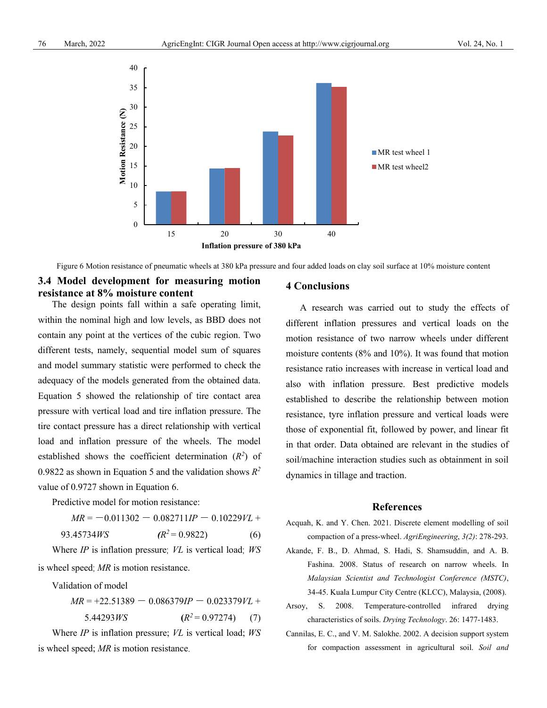

Figure 6 Motion resistance of pneumatic wheels at 380 kPa pressure and four added loads on clay soil surface at 10% moisture content

# **3.4 Model development for measuring motion resistance at 8% moisture content**

The design points fall within a safe operating limit, within the nominal high and low levels, as BBD does not contain any point at the vertices of the cubic region. Two different tests, namely, sequential model sum of squares and model summary statistic were performed to check the adequacy of the models generated from the obtained data. Equation 5 showed the relationship of tire contact area pressure with vertical load and tire inflation pressure. The tire contact pressure has a direct relationship with vertical load and inflation pressure of the wheels. The model established shows the coefficient determination  $(R^2)$  of 0.9822 as shown in Equation 5 and the validation shows *R<sup>2</sup>* value of 0.9727 shown in Equation 6.

Predictive model for motion resistance:

$$
MR = -0.011302 - 0.082711IP - 0.10229VL + 0.45724Wc
$$

93.45734*WS*  $(R^2 = 0.9822)$  (6)

Where *IP* is inflation pressure; *VL* is vertical load; *WS* is wheel speed; *MR* is motion resistance.

Validation of model

 $MR = +22.51389 - 0.086379IP - 0.023379VL +$ 5.44293*WS*  $(R^2 = 0.97274)$  (7)

Where *IP* is inflation pressure; *VL* is vertical load; *WS* is wheel speed; *MR* is motion resistance.

#### **4 Conclusions**

A research was carried out to study the effects of different inflation pressures and vertical loads on the motion resistance of two narrow wheels under different moisture contents (8% and 10%). It was found that motion resistance ratio increases with increase in vertical load and also with inflation pressure. Best predictive models established to describe the relationship between motion resistance, tyre inflation pressure and vertical loads were those of exponential fit, followed by power, and linear fit in that order. Data obtained are relevant in the studies of soil/machine interaction studies such as obtainment in soil dynamics in tillage and traction.

#### **References**

- Acquah, K. and Y. Chen. 2021. Discrete element modelling of soil compaction of a press-wheel. *AgriEngineering*, *3(2)*: 278-293.
- Akande, F. B., D. Ahmad, S. Hadi, S. Shamsuddin, and A. B. Fashina. 2008. Status of research on narrow wheels. In *Malaysian Scientist and Technologist Conference (MSTC)*, 34-45. Kuala Lumpur City Centre (KLCC), Malaysia, (2008).
- Arsoy, S. 2008. Temperature-controlled infrared drying characteristics of soils. *Drying Technology*. 26: 1477-1483.
- Cannilas, E. C., and V. M. Salokhe. 2002. A decision support system for compaction assessment in agricultural soil. *Soil and*